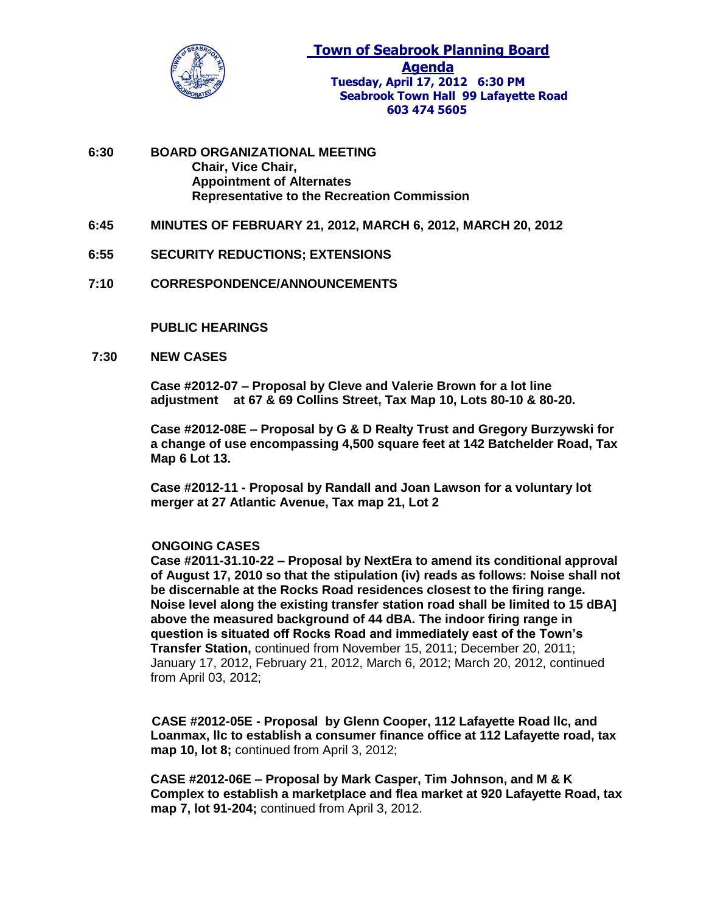

- **6:30 BOARD ORGANIZATIONAL MEETING Chair, Vice Chair, Appointment of Alternates Representative to the Recreation Commission**
- **6:45 MINUTES OF FEBRUARY 21, 2012, MARCH 6, 2012, MARCH 20, 2012**
- **6:55 SECURITY REDUCTIONS; EXTENSIONS**
- **7:10 CORRESPONDENCE/ANNOUNCEMENTS**

**PUBLIC HEARINGS**

**7:30 NEW CASES** 

**Case #2012-07 – Proposal by Cleve and Valerie Brown for a lot line adjustment at 67 & 69 Collins Street, Tax Map 10, Lots 80-10 & 80-20.**

**Case #2012-08E – Proposal by G & D Realty Trust and Gregory Burzywski for a change of use encompassing 4,500 square feet at 142 Batchelder Road, Tax Map 6 Lot 13.** 

**Case #2012-11 - Proposal by Randall and Joan Lawson for a voluntary lot merger at 27 Atlantic Avenue, Tax map 21, Lot 2**

## **ONGOING CASES**

**Case #2011-31.10-22 – Proposal by NextEra to amend its conditional approval of August 17, 2010 so that the stipulation (iv) reads as follows: Noise shall not be discernable at the Rocks Road residences closest to the firing range. Noise level along the existing transfer station road shall be limited to 15 dBA] above the measured background of 44 dBA. The indoor firing range in question is situated off Rocks Road and immediately east of the Town's Transfer Station,** continued from November 15, 2011; December 20, 2011; January 17, 2012, February 21, 2012, March 6, 2012; March 20, 2012, continued from April 03, 2012;

 **CASE #2012-05E - Proposal by Glenn Cooper, 112 Lafayette Road llc, and Loanmax, llc to establish a consumer finance office at 112 Lafayette road, tax map 10, lot 8;** continued from April 3, 2012;

**CASE #2012-06E – Proposal by Mark Casper, Tim Johnson, and M & K Complex to establish a marketplace and flea market at 920 Lafayette Road, tax map 7, lot 91-204;** continued from April 3, 2012.